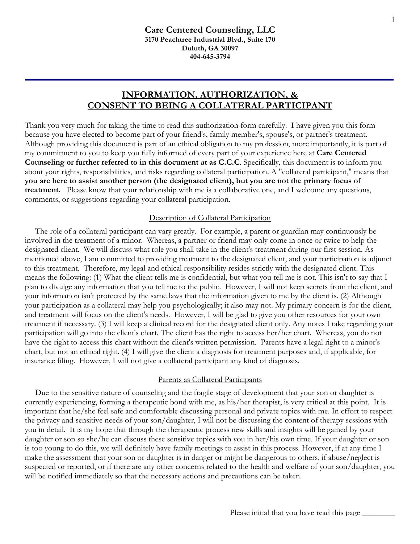# **INFORMATION, AUTHORIZATION, & CONSENT TO BEING A COLLATERAL PARTICIPANT**

Thank you very much for taking the time to read this authorization form carefully. I have given you this form because you have elected to become part of your friend's, family member's, spouse's, or partner's treatment. Although providing this document is part of an ethical obligation to my profession, more importantly, it is part of my commitment to you to keep you fully informed of every part of your experience here at **Care Centered Counseling or further referred to in this document at as C.C.C**. Specifically, this document is to inform you about your rights, responsibilities, and risks regarding collateral participation. A "collateral participant," means that **you are here to assist another person (the designated client), but you are not the primary focus of treatment.** Please know that your relationship with me is a collaborative one, and I welcome any questions, comments, or suggestions regarding your collateral participation.

# Description of Collateral Participation

 The role of a collateral participant can vary greatly. For example, a parent or guardian may continuously be involved in the treatment of a minor. Whereas, a partner or friend may only come in once or twice to help the designated client. We will discuss what role you shall take in the client's treatment during our first session. As mentioned above, I am committed to providing treatment to the designated client, and your participation is adjunct to this treatment. Therefore, my legal and ethical responsibility resides strictly with the designated client. This means the following: (1) What the client tells me is confidential, but what you tell me is not. This isn't to say that I plan to divulge any information that you tell me to the public. However, I will not keep secrets from the client, and your information isn't protected by the same laws that the information given to me by the client is. (2) Although your participation as a collateral may help you psychologically; it also may not. My primary concern is for the client, and treatment will focus on the client's needs. However, I will be glad to give you other resources for your own treatment if necessary. (3) I will keep a clinical record for the designated client only. Any notes I take regarding your participation will go into the client's chart. The client has the right to access her/her chart. Whereas, you do not have the right to access this chart without the client's written permission. Parents have a legal right to a minor's chart, but not an ethical right. (4) I will give the client a diagnosis for treatment purposes and, if applicable, for insurance filing. However, I will not give a collateral participant any kind of diagnosis.

# Parents as Collateral Participants

 Due to the sensitive nature of counseling and the fragile stage of development that your son or daughter is currently experiencing, forming a therapeutic bond with me, as his/her therapist, is very critical at this point. It is important that he/she feel safe and comfortable discussing personal and private topics with me. In effort to respect the privacy and sensitive needs of your son/daughter, I will not be discussing the content of therapy sessions with you in detail. It is my hope that through the therapeutic process new skills and insights will be gained by your daughter or son so she/he can discuss these sensitive topics with you in her/his own time. If your daughter or son is too young to do this, we will definitely have family meetings to assist in this process. However, if at any time I make the assessment that your son or daughter is in danger or might be dangerous to others, if abuse/neglect is suspected or reported, or if there are any other concerns related to the health and welfare of your son/daughter, you will be notified immediately so that the necessary actions and precautions can be taken.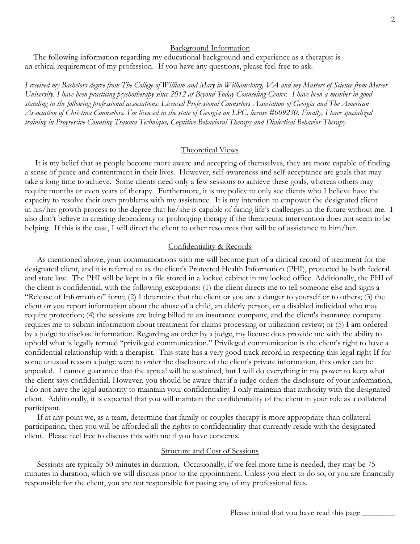## Background Information

 The following information regarding my educational background and experience as a therapist is an ethical requirement of my profession. If you have any questions, please feel free to ask.

*I received my Bachelors degree from The College of William and Mary in Williamsburg, VA and my Masters of Science from Mercer University. I have been practicing psychotherapy since 2012 at Beyond Today Counseling Center. I have been a member in good standing in the following professional associations: Licensed Professional Counselors Association of Georgia and The American Association of Christina Counselors. I'm licensed in the state of Georgia an LPC, license #009230. Finally, I have specialized training in Progressive Counting Trauma Technique, Cognitive Behavioral Therapy and Dialectical Behavior Therapy.*

### Theoretical Views

 It is my belief that as people become more aware and accepting of themselves, they are more capable of finding a sense of peace and contentment in their lives. However, self-awareness and self-acceptance are goals that may take a long time to achieve. Some clients need only a few sessions to achieve these goals, whereas others may require months or even years of therapy. Furthermore, it is my policy to only see clients who I believe have the capacity to resolve their own problems with my assistance. It is my intention to empower the designated client in his/her growth process to the degree that he/she is capable of facing life's challenges in the future without me. I also don't believe in creating dependency or prolonging therapy if the therapeutic intervention does not seem to be helping. If this is the case, I will direct the client to other resources that will be of assistance to him/her.

## Confidentiality & Records

 As mentioned above, your communications with me will become part of a clinical record of treatment for the designated client, and it is referred to as the client's Protected Health Information (PHI), protected by both federal and state law. The PHI will be kept in a file stored in a locked cabinet in my locked office. Additionally, the PHI of the client is confidential, with the following exceptions: (1) the client directs me to tell someone else and signs a "Release of Information" form; (2) I determine that the client or you are a danger to yourself or to others; (3) the client or you report information about the abuse of a child, an elderly person, or a disabled individual who may require protection; (4) the sessions are being billed to an insurance company, and the client's insurance company requires me to submit information about treatment for claims processing or utilization review; or (5) I am ordered by a judge to disclose information. Regarding an order by a judge, my license does provide me with the ability to uphold what is legally termed "privileged communication." Privileged communication is the client's right to have a confidential relationship with a therapist. This state has a very good track record in respecting this legal right If for some unusual reason a judge were to order the disclosure of the client's private information, this order can be appealed. I cannot guarantee that the appeal will be sustained, but I will do everything in my power to keep what the client says confidential. However, you should be aware that if a judge orders the disclosure of your information, I do not have the legal authority to maintain your confidentiality. I only maintain that authority with the designated client. Additionally, it is expected that you will maintain the confidentiality of the client in your role as a collateral participant.

 If at any point we, as a team, determine that family or couples therapy is more appropriate than collateral participation, then you will be afforded all the rights to confidentiality that currently reside with the designated client. Please feel free to discuss this with me if you have concerns.

#### Structure and Cost of Sessions

 Sessions are typically 50 minutes in duration. Occasionally, if we feel more time is needed, they may be 75 minutes in duration, which we will discuss prior to the appointment. Unless you elect to do so, or you are financially responsible for the client, you are not responsible for paying any of my professional fees.

 $\mathcal P$  and the smartform by Dr. Beaton, LLC  $\mathcal P$  and LLC  $\mathcal P$  and  $\mathcal P$  and  $\mathcal P$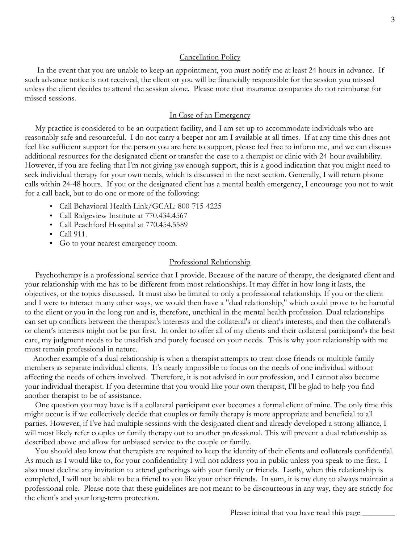#### Cancellation Policy

 In the event that you are unable to keep an appointment, you must notify me at least 24 hours in advance. If such advance notice is not received, the client or you will be financially responsible for the session you missed unless the client decides to attend the session alone. Please note that insurance companies do not reimburse for missed sessions.

### In Case of an Emergency

 My practice is considered to be an outpatient facility, and I am set up to accommodate individuals who are reasonably safe and resourceful. I do not carry a beeper nor am I available at all times. If at any time this does not feel like sufficient support for the person you are here to support, please feel free to inform me, and we can discuss additional resources for the designated client or transfer the case to a therapist or clinic with 24-hour availability. However, if you are feeling that I'm not giving *you* enough support, this is a good indication that you might need to seek individual therapy for your own needs, which is discussed in the next section. Generally, I will return phone calls within 24-48 hours. If you or the designated client has a mental health emergency, I encourage you not to wait for a call back, but to do one or more of the following:

- Call Behavioral Health Link/GCAL: 800-715-4225
- Call Ridgeview Institute at 770.434.4567
- Call Peachford Hospital at 770.454.5589
- Call 911.
- Go to your nearest emergency room.

### Professional Relationship

 Psychotherapy is a professional service that I provide. Because of the nature of therapy, the designated client and your relationship with me has to be different from most relationships. It may differ in how long it lasts, the objectives, or the topics discussed. It must also be limited to only a professional relationship. If you or the client and I were to interact in any other ways, we would then have a "dual relationship," which could prove to be harmful to the client or you in the long run and is, therefore, unethical in the mental health profession. Dual relationships can set up conflicts between the therapist's interests and the collateral's or client's interests, and then the collateral's or client's interests might not be put first. In order to offer all of my clients and their collateral participant's the best care, my judgment needs to be unselfish and purely focused on your needs. This is why your relationship with me must remain professional in nature.

 Another example of a dual relationship is when a therapist attempts to treat close friends or multiple family members as separate individual clients. It's nearly impossible to focus on the needs of one individual without affecting the needs of others involved. Therefore, it is not advised in our profession, and I cannot also become your individual therapist. If you determine that you would like your own therapist, I'll be glad to help you find another therapist to be of assistance.

 One question you may have is if a collateral participant ever becomes a formal client of mine. The only time this might occur is if we collectively decide that couples or family therapy is more appropriate and beneficial to all parties. However, if I've had multiple sessions with the designated client and already developed a strong alliance, I will most likely refer couples or family therapy out to another professional. This will prevent a dual relationship as described above and allow for unbiased service to the couple or family.

 You should also know that therapists are required to keep the identity of their clients and collaterals confidential. As much as I would like to, for your confidentiality I will not address you in public unless you speak to me first. I also must decline any invitation to attend gatherings with your family or friends. Lastly, when this relationship is completed, I will not be able to be a friend to you like your other friends. In sum, it is my duty to always maintain a professional role. Please note that these guidelines are not meant to be discourteous in any way, they are strictly for the client's and your long-term protection.

Please initial that you have read this page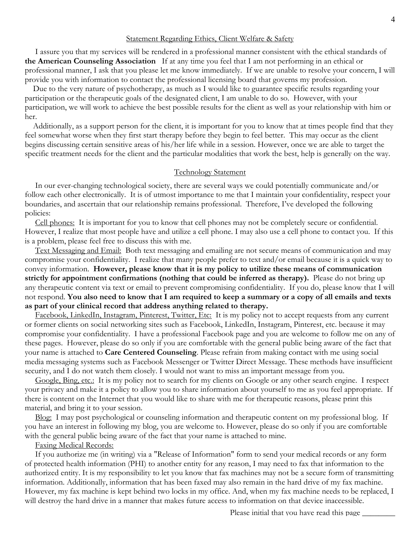### Statement Regarding Ethics, Client Welfare & Safety

 I assure you that my services will be rendered in a professional manner consistent with the ethical standards of **the American Counseling Association** If at any time you feel that I am not performing in an ethical or professional manner, I ask that you please let me know immediately. If we are unable to resolve your concern, I will provide you with information to contact the professional licensing board that governs my profession.

 Due to the very nature of psychotherapy, as much as I would like to guarantee specific results regarding your participation or the therapeutic goals of the designated client, I am unable to do so. However, with your participation, we will work to achieve the best possible results for the client as well as your relationship with him or her.

 Additionally, as a support person for the client, it is important for you to know that at times people find that they feel somewhat worse when they first start therapy before they begin to feel better. This may occur as the client begins discussing certain sensitive areas of his/her life while in a session. However, once we are able to target the specific treatment needs for the client and the particular modalities that work the best, help is generally on the way.

#### Technology Statement

 In our ever-changing technological society, there are several ways we could potentially communicate and/or follow each other electronically. It is of utmost importance to me that I maintain your confidentiality, respect your boundaries, and ascertain that our relationship remains professional. Therefore, I've developed the following policies:

 Cell phones: It is important for you to know that cell phones may not be completely secure or confidential. However, I realize that most people have and utilize a cell phone. I may also use a cell phone to contact you. If this is a problem, please feel free to discuss this with me.

 Text Messaging and Email: Both text messaging and emailing are not secure means of communication and may compromise your confidentiality. I realize that many people prefer to text and/or email because it is a quick way to convey information. **However, please know that it is my policy to utilize these means of communication strictly for appointment confirmations (nothing that could be inferred as therapy).** Please do not bring up any therapeutic content via text or email to prevent compromising confidentiality. If you do, please know that I will not respond. **You also need to know that I am required to keep a summary or a copy of all emails and texts as part of your clinical record that address anything related to therapy.** 

 Facebook, LinkedIn, Instagram, Pinterest, Twitter, Etc: It is my policy not to accept requests from any current or former clients on social networking sites such as Facebook, LinkedIn, Instagram, Pinterest, etc. because it may compromise your confidentiality. I have a professional Facebook page and you are welcome to follow me on any of these pages. However, please do so only if you are comfortable with the general public being aware of the fact that your name is attached to **Care Centered Counseling**. Please refrain from making contact with me using social media messaging systems such as Facebook Messenger or Twitter Direct Message. These methods have insufficient security, and I do not watch them closely. I would not want to miss an important message from you.

Google, Bing, etc.: It is my policy not to search for my clients on Google or any other search engine. I respect your privacy and make it a policy to allow you to share information about yourself to me as you feel appropriate. If there is content on the Internet that you would like to share with me for therapeutic reasons, please print this material, and bring it to your session.

Blog: I may post psychological or counseling information and therapeutic content on my professional blog. If you have an interest in following my blog, you are welcome to. However, please do so only if you are comfortable with the general public being aware of the fact that your name is attached to mine.

#### **Faxing Medical Records:**

 If you authorize me (in writing) via a "Release of Information" form to send your medical records or any form of protected health information (PHI) to another entity for any reason, I may need to fax that information to the authorized entity. It is my responsibility to let you know that fax machines may not be a secure form of transmitting information. Additionally, information that has been faxed may also remain in the hard drive of my fax machine. However, my fax machine is kept behind two locks in my office. And, when my fax machine needs to be replaced, I will destroy the hard drive in a manner that makes future access to information on that device inaccessible.

Please initial that you have read this page

 $\mathcal P$  and the smartform by Dr. Beaton, LLC  $\mathcal P$  and LLC  $\mathcal P$  and  $\mathcal P$  and  $\mathcal P$